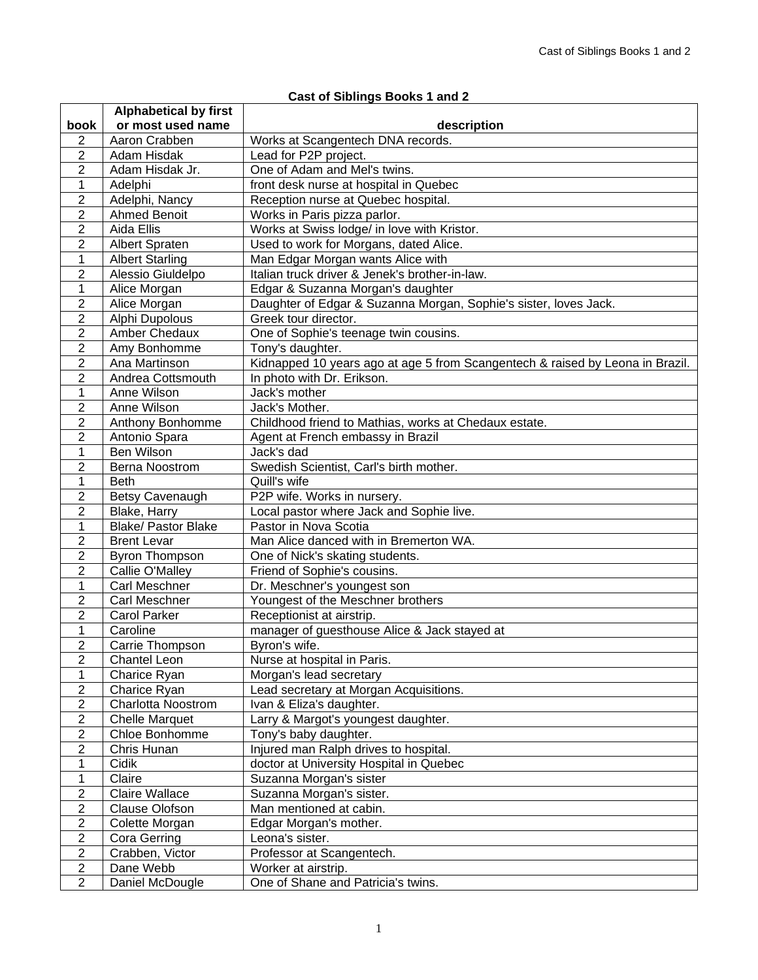## **Cast of Siblings Books 1 and 2 book Alphabetical by first or most used name**  $\vert$  **description** 2 | Aaron Crabben | Works at Scangentech DNA records. 2 | Adam Hisdak | Lead for P2P project. 2 Adam Hisdak Jr. **One of Adam and Mel's twins.** 1 Adelphi front desk nurse at hospital in Quebec 2 | Adelphi, Nancy | Reception nurse at Quebec hospital. 2 Ahmed Benoit Works in Paris pizza parlor. 2 Aida Ellis Works at Swiss lodge/ in love with Kristor. 2 Albert Spraten | Used to work for Morgans, dated Alice. 1 Albert Starling Man Edgar Morgan wants Alice with<br>2 Alessio Giuldelpo Italian truck driver & Jenek's brother-Italian truck driver & Jenek's brother-in-law. 1 | Alice Morgan | Edgar & Suzanna Morgan's daughter 2 Alice Morgan Daughter of Edgar & Suzanna Morgan, Sophie's sister, loves Jack. 2 | Alphi Dupolous | Greek tour director. 2 | Amber Chedaux | One of Sophie's teenage twin cousins. 2 | Amy Bonhomme | Tony's daughter. 2 Ana Martinson Kidnapped 10 years ago at age 5 from Scangentech & raised by Leona in Brazil. 2 Andrea Cottsmouth In photo with Dr. Erikson. 1 | Anne Wilson | Jack's mother 2 Anne Wilson Jack's Mother. 2 | Anthony Bonhomme | Childhood friend to Mathias, works at Chedaux estate. 2 Antonio Spara | Agent at French embassy in Brazil 1 Ben Wilson Jack's dad 2 Berna Noostrom Swedish Scientist, Carl's birth mother. 1 Beth Quill's wife 2 Betsy Cavenaugh P2P wife. Works in nursery. 2 Blake, Harry **Local pastor where Jack and Sophie live.** 1 Blake/ Pastor Blake Pastor in Nova Scotia 2 | Brent Levar | Man Alice danced with in Bremerton WA. 2 Byron Thompson I One of Nick's skating students. 2 | Callie O'Malley | Friend of Sophie's cousins. 1 Carl Meschner Dr. Meschner's youngest son<br>2 Carl Meschner Youngest of the Meschner bro 2 Carl Meschner Youngest of the Meschner brothers 2 Carol Parker Receptionist at airstrip. 1 | Caroline | manager of guesthouse Alice & Jack stayed at 2 Carrie Thompson Byron's wife. 2 Chantel Leon **Nurse at hospital in Paris.** 1 Charice Ryan Morgan's lead secretary 2 | Charice Ryan | Lead secretary at Morgan Acquisitions. 2 | Charlotta Noostrom | Ivan & Eliza's daughter. 2 | Chelle Marquet | Larry & Margot's youngest daughter. 2 Chloe Bonhomme Tony's baby daughter. 2 Chris Hunan Injured man Ralph drives to hospital.<br>1 Cidik doctor at University Hospital in Queb 1 Cidik doctor at University Hospital in Quebec 1 Claire Suzanna Morgan's sister 2 | Claire Wallace | Suzanna Morgan's sister. 2 Clause Olofson | Man mentioned at cabin. 2 Colette Morgan | Edgar Morgan's mother. 2 Cora Gerring Leona's sister. 2 Crabben, Victor | Professor at Scangentech. 2 Dane Webb Worker at airstrip. 2 Daniel McDougle | One of Shane and Patricia's twins.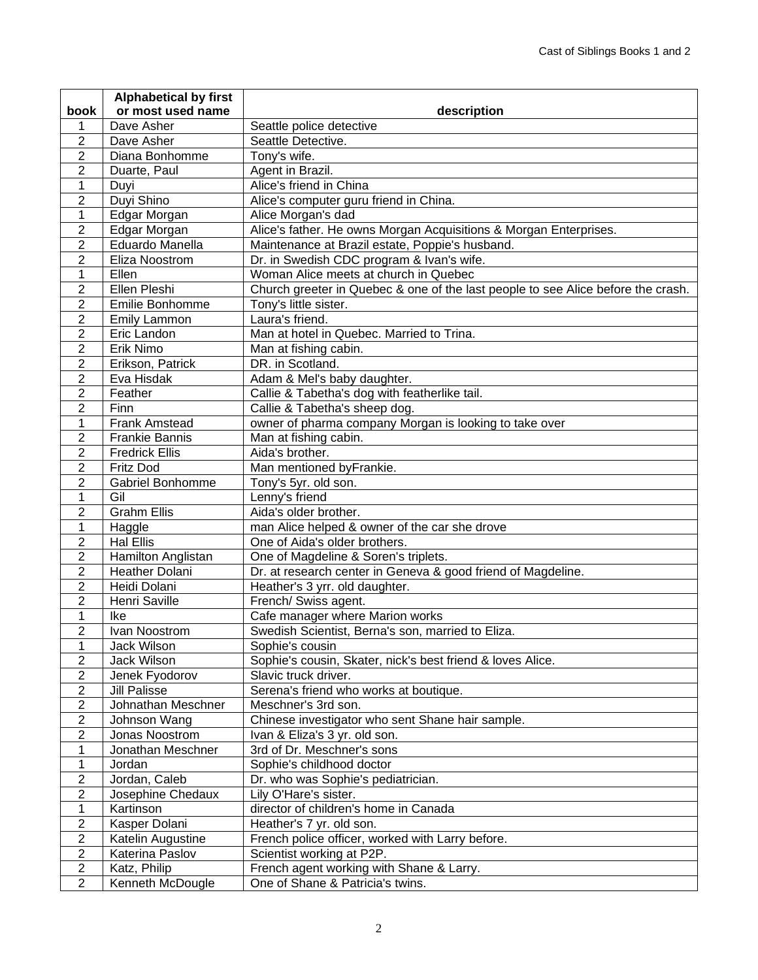|                  | <b>Alphabetical by first</b> |                                                                                  |
|------------------|------------------------------|----------------------------------------------------------------------------------|
| book             | or most used name            | description                                                                      |
| 1                | Dave Asher                   | Seattle police detective                                                         |
| 2                | Dave Asher                   | Seattle Detective.                                                               |
| $\overline{2}$   | Diana Bonhomme               | Tony's wife.                                                                     |
| $\overline{2}$   | Duarte, Paul                 | Agent in Brazil.                                                                 |
| 1                | Duyi                         | Alice's friend in China                                                          |
| $\overline{2}$   | Duyi Shino                   | Alice's computer guru friend in China.                                           |
| 1                | Edgar Morgan                 | Alice Morgan's dad                                                               |
| $\overline{2}$   | Edgar Morgan                 | Alice's father. He owns Morgan Acquisitions & Morgan Enterprises.                |
| $\overline{2}$   | Eduardo Manella              | Maintenance at Brazil estate, Poppie's husband.                                  |
| $\overline{2}$   | Eliza Noostrom               | Dr. in Swedish CDC program & Ivan's wife.                                        |
| 1                | Ellen                        | Woman Alice meets at church in Quebec                                            |
| $\overline{2}$   | Ellen Pleshi                 | Church greeter in Quebec & one of the last people to see Alice before the crash. |
| $\overline{2}$   | Emilie Bonhomme              | Tony's little sister.                                                            |
| $\overline{2}$   | <b>Emily Lammon</b>          | Laura's friend.                                                                  |
| $\overline{2}$   | Eric Landon                  | Man at hotel in Quebec. Married to Trina.                                        |
| $\overline{2}$   | Erik Nimo                    | Man at fishing cabin.                                                            |
| $\overline{2}$   | Erikson, Patrick             | DR. in Scotland.                                                                 |
| $\overline{2}$   | Eva Hisdak                   | Adam & Mel's baby daughter.                                                      |
| $\overline{2}$   | Feather                      | Callie & Tabetha's dog with featherlike tail.                                    |
| $\overline{2}$   | Finn                         | Callie & Tabetha's sheep dog.                                                    |
| 1                | <b>Frank Amstead</b>         | owner of pharma company Morgan is looking to take over                           |
| $\overline{2}$   | <b>Frankie Bannis</b>        | Man at fishing cabin.                                                            |
| $\overline{2}$   | Fredrick Ellis               | Aida's brother.                                                                  |
| $\overline{2}$   | <b>Fritz Dod</b>             | Man mentioned byFrankie.                                                         |
| $\overline{2}$   | <b>Gabriel Bonhomme</b>      | Tony's 5yr. old son.                                                             |
| $\mathbf{1}$     | Gil                          | Lenny's friend                                                                   |
| $\overline{2}$   | <b>Grahm Ellis</b>           | Aida's older brother.                                                            |
| $\mathbf{1}$     | Haggle                       | man Alice helped & owner of the car she drove                                    |
| $\overline{2}$   | <b>Hal Ellis</b>             | One of Aida's older brothers.                                                    |
| $\overline{2}$   | Hamilton Anglistan           | One of Magdeline & Soren's triplets.                                             |
| $\overline{2}$   | <b>Heather Dolani</b>        | Dr. at research center in Geneva & good friend of Magdeline.                     |
| $\overline{2}$   | Heidi Dolani                 | Heather's 3 yrr. old daughter.                                                   |
| $\overline{2}$   | Henri Saville                | French/ Swiss agent.                                                             |
| $\mathbf{1}$     | Ike                          | Cafe manager where Marion works                                                  |
| $\overline{2}$   | Ivan Noostrom                | Swedish Scientist, Berna's son, married to Eliza.                                |
| $\mathbf{1}$     | Jack Wilson                  | Sophie's cousin                                                                  |
| 2                | Jack Wilson                  | Sophie's cousin, Skater, nick's best friend & loves Alice.                       |
| 2                | Jenek Fyodorov               | Slavic truck driver.                                                             |
| 2                | <b>Jill Palisse</b>          | Serena's friend who works at boutique.                                           |
| 2                | Johnathan Meschner           | Meschner's 3rd son.                                                              |
| $\overline{2}$   | Johnson Wang                 | Chinese investigator who sent Shane hair sample.                                 |
| $\overline{2}$   | Jonas Noostrom               | Ivan & Eliza's 3 yr. old son.                                                    |
| 1                | Jonathan Meschner            | 3rd of Dr. Meschner's sons                                                       |
| 1                | Jordan                       | Sophie's childhood doctor                                                        |
| 2                | Jordan, Caleb                | Dr. who was Sophie's pediatrician.                                               |
| $\overline{2}$   | Josephine Chedaux            | Lily O'Hare's sister.                                                            |
| 1                | Kartinson                    | director of children's home in Canada                                            |
| 2                | Kasper Dolani                | Heather's 7 yr. old son.                                                         |
| $\overline{c}$   | Katelin Augustine            | French police officer, worked with Larry before.                                 |
| $\overline{c}$   | Katerina Paslov              | Scientist working at P2P.                                                        |
| $\boldsymbol{2}$ | Katz, Philip                 | French agent working with Shane & Larry.                                         |
| $\overline{2}$   | Kenneth McDougle             | One of Shane & Patricia's twins.                                                 |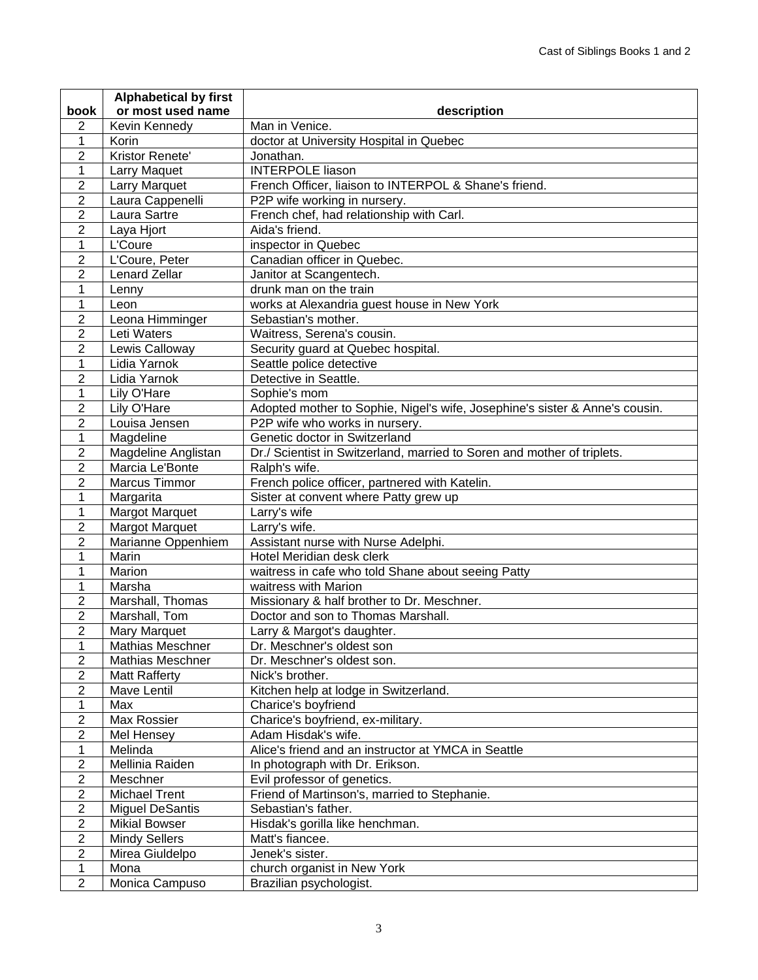|                                  | <b>Alphabetical by first</b>            |                                                                             |
|----------------------------------|-----------------------------------------|-----------------------------------------------------------------------------|
| book                             | or most used name                       | description                                                                 |
| $\overline{2}$                   | Kevin Kennedy                           | Man in Venice.                                                              |
| 1                                | Korin                                   | doctor at University Hospital in Quebec                                     |
| $\overline{2}$                   | Kristor Renete'                         | Jonathan.                                                                   |
| 1                                | Larry Maquet                            | <b>INTERPOLE liason</b>                                                     |
| $\overline{c}$                   | <b>Larry Marquet</b>                    | French Officer, liaison to INTERPOL & Shane's friend.                       |
| $\overline{2}$                   | Laura Cappenelli                        | P2P wife working in nursery.                                                |
| $\overline{2}$                   | Laura Sartre                            | French chef, had relationship with Carl.                                    |
| $\overline{2}$                   | Laya Hjort                              | Aida's friend.                                                              |
| 1                                | L'Coure                                 | inspector in Quebec                                                         |
| $\overline{c}$                   | L'Coure, Peter                          | Canadian officer in Quebec.                                                 |
| $\overline{2}$                   | <b>Lenard Zellar</b>                    | Janitor at Scangentech.                                                     |
| 1                                | Lenny                                   | drunk man on the train                                                      |
| 1                                | Leon                                    | works at Alexandria guest house in New York                                 |
| $\overline{2}$                   | Leona Himminger                         | Sebastian's mother.                                                         |
| $\overline{2}$                   | Leti Waters                             | Waitress, Serena's cousin.                                                  |
| $\overline{2}$                   | Lewis Calloway                          | Security guard at Quebec hospital.                                          |
| 1                                | Lidia Yarnok                            | Seattle police detective                                                    |
| $\overline{2}$                   | Lidia Yarnok                            | Detective in Seattle.                                                       |
| 1                                | Lily O'Hare                             | Sophie's mom                                                                |
| $\overline{2}$                   | Lily O'Hare                             | Adopted mother to Sophie, Nigel's wife, Josephine's sister & Anne's cousin. |
| $\overline{2}$                   | Louisa Jensen                           | P2P wife who works in nursery.                                              |
| 1                                | Magdeline                               | Genetic doctor in Switzerland                                               |
| $\overline{2}$                   | Magdeline Anglistan                     | Dr./ Scientist in Switzerland, married to Soren and mother of triplets.     |
| $\overline{2}$                   | Marcia Le'Bonte                         | Ralph's wife.                                                               |
| $\overline{2}$                   | <b>Marcus Timmor</b>                    | French police officer, partnered with Katelin.                              |
| 1                                | Margarita                               | Sister at convent where Patty grew up                                       |
| 1                                | <b>Margot Marquet</b>                   | Larry's wife                                                                |
| $\overline{2}$                   | <b>Margot Marquet</b>                   | Larry's wife.                                                               |
| $\overline{2}$                   | Marianne Oppenhiem                      | Assistant nurse with Nurse Adelphi.                                         |
| 1                                | Marin                                   | Hotel Meridian desk clerk                                                   |
| 1                                | Marion                                  | waitress in cafe who told Shane about seeing Patty                          |
| 1                                | Marsha                                  | waitress with Marion                                                        |
| 2                                | Marshall, Thomas                        | Missionary & half brother to Dr. Meschner.                                  |
| $\overline{2}$                   | Marshall, Tom                           | Doctor and son to Thomas Marshall.                                          |
| $\overline{c}$                   | Mary Marquet                            | Larry & Margot's daughter.                                                  |
| 1                                | Mathias Meschner                        | Dr. Meschner's oldest son                                                   |
| 2                                | <b>Mathias Meschner</b>                 | Dr. Meschner's oldest son.                                                  |
| $\overline{2}$                   | <b>Matt Rafferty</b>                    | Nick's brother.                                                             |
| $\overline{c}$                   | Mave Lentil                             | Kitchen help at lodge in Switzerland.                                       |
| 1<br>$\overline{c}$              | Max                                     | Charice's boyfriend                                                         |
|                                  | Max Rossier                             | Charice's boyfriend, ex-military.                                           |
| $\overline{2}$<br>$\mathbf{1}$   | Mel Hensey                              | Adam Hisdak's wife.                                                         |
|                                  | Melinda                                 | Alice's friend and an instructor at YMCA in Seattle                         |
| $\overline{c}$<br>$\overline{2}$ | Mellinia Raiden                         | In photograph with Dr. Erikson.                                             |
| $\overline{2}$                   | Meschner<br><b>Michael Trent</b>        | Evil professor of genetics.                                                 |
| $\overline{2}$                   |                                         | Friend of Martinson's, married to Stephanie.                                |
| $\overline{2}$                   | <b>Miguel DeSantis</b>                  | Sebastian's father.                                                         |
| $\overline{2}$                   | <b>Mikial Bowser</b>                    | Hisdak's gorilla like henchman.                                             |
| $\overline{2}$                   | <b>Mindy Sellers</b><br>Mirea Giuldelpo | Matt's fiancee.<br>Jenek's sister.                                          |
| 1                                | Mona                                    |                                                                             |
| $\overline{2}$                   | Monica Campuso                          | church organist in New York<br>Brazilian psychologist.                      |
|                                  |                                         |                                                                             |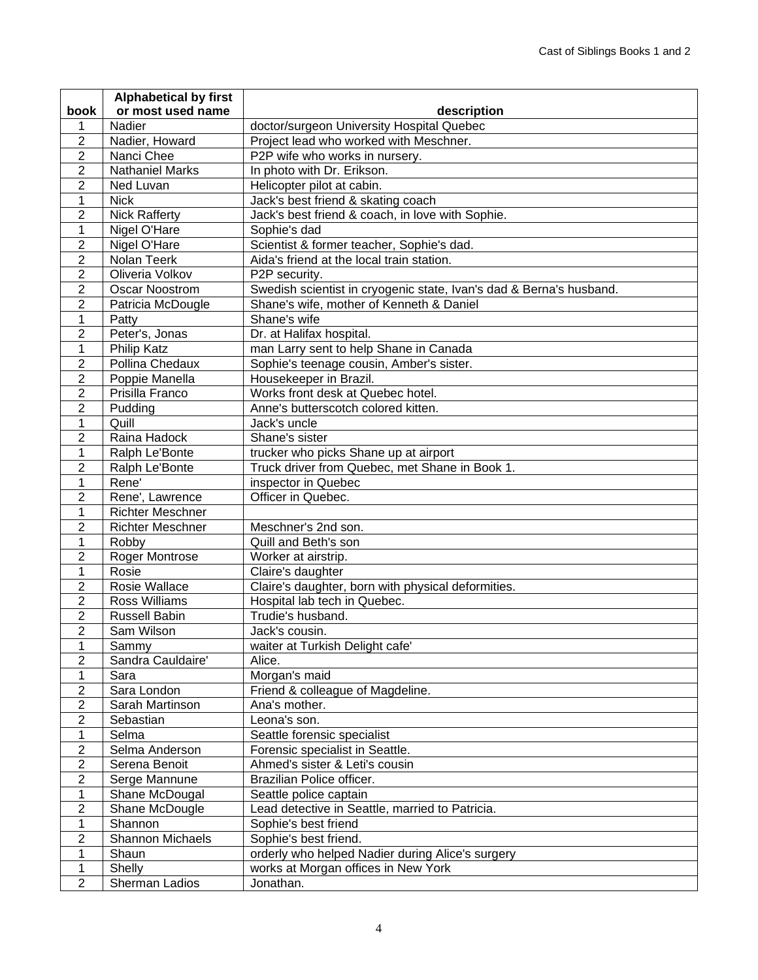|                  | <b>Alphabetical by first</b> |                                                                     |
|------------------|------------------------------|---------------------------------------------------------------------|
| book             | or most used name            | description                                                         |
| 1                | Nadier                       | doctor/surgeon University Hospital Quebec                           |
| $\overline{2}$   | Nadier, Howard               | Project lead who worked with Meschner.                              |
| $\overline{2}$   | Nanci Chee                   | P2P wife who works in nursery.                                      |
| $\overline{2}$   | <b>Nathaniel Marks</b>       | In photo with Dr. Erikson.                                          |
| $\overline{2}$   | Ned Luvan                    | Helicopter pilot at cabin.                                          |
| $\mathbf{1}$     | <b>Nick</b>                  | Jack's best friend & skating coach                                  |
| $\overline{2}$   | <b>Nick Rafferty</b>         | Jack's best friend & coach, in love with Sophie.                    |
| $\mathbf{1}$     | Nigel O'Hare                 | Sophie's dad                                                        |
| $\overline{2}$   | Nigel O'Hare                 | Scientist & former teacher, Sophie's dad.                           |
| $\overline{2}$   | Nolan Teerk                  | Aida's friend at the local train station.                           |
| $\overline{2}$   | Oliveria Volkov              | P2P security.                                                       |
| $\overline{2}$   | <b>Oscar Noostrom</b>        | Swedish scientist in cryogenic state, Ivan's dad & Berna's husband. |
| $\overline{2}$   | Patricia McDougle            | Shane's wife, mother of Kenneth & Daniel                            |
| 1                | Patty                        | Shane's wife                                                        |
| $\overline{2}$   | Peter's, Jonas               | Dr. at Halifax hospital.                                            |
| $\mathbf{1}$     | <b>Philip Katz</b>           | man Larry sent to help Shane in Canada                              |
| $\overline{2}$   | Pollina Chedaux              | Sophie's teenage cousin, Amber's sister.                            |
| $\overline{2}$   | Poppie Manella               | Housekeeper in Brazil.                                              |
| $\overline{2}$   | Prisilla Franco              | Works front desk at Quebec hotel.                                   |
| $\overline{2}$   | Pudding                      | Anne's butterscotch colored kitten.                                 |
| $\mathbf{1}$     | Quill                        | Jack's uncle                                                        |
| $\overline{2}$   | Raina Hadock                 | Shane's sister                                                      |
| $\mathbf{1}$     | Ralph Le'Bonte               | trucker who picks Shane up at airport                               |
| $\overline{2}$   | Ralph Le'Bonte               | Truck driver from Quebec, met Shane in Book 1.                      |
| $\mathbf{1}$     | Rene'                        | inspector in Quebec                                                 |
| $\overline{2}$   | Rene', Lawrence              | Officer in Quebec.                                                  |
| $\mathbf{1}$     | <b>Richter Meschner</b>      |                                                                     |
| $\overline{2}$   | <b>Richter Meschner</b>      | Meschner's 2nd son.                                                 |
| $\mathbf{1}$     | Robby                        | Quill and Beth's son                                                |
| $\overline{2}$   | <b>Roger Montrose</b>        | Worker at airstrip.                                                 |
| $\mathbf{1}$     | Rosie                        | Claire's daughter                                                   |
| $\overline{2}$   | Rosie Wallace                | Claire's daughter, born with physical deformities.                  |
| $\overline{2}$   | <b>Ross Williams</b>         | Hospital lab tech in Quebec.                                        |
| $\overline{2}$   | <b>Russell Babin</b>         | Trudie's husband.                                                   |
| $\overline{2}$   | Sam Wilson                   | Jack's cousin.                                                      |
| $\mathbf{1}$     | Sammy                        | waiter at Turkish Delight cafe'                                     |
| $\overline{2}$   | Sandra Cauldaire'            | Alice.                                                              |
| $\mathbf{1}$     | Sara                         | Morgan's maid                                                       |
| $\boldsymbol{2}$ | Sara London                  | Friend & colleague of Magdeline.                                    |
| $\boldsymbol{2}$ | Sarah Martinson              | Ana's mother.                                                       |
| $\boldsymbol{2}$ | Sebastian                    | Leona's son.                                                        |
| 1                | Selma                        | Seattle forensic specialist                                         |
| $\boldsymbol{2}$ | Selma Anderson               | Forensic specialist in Seattle.                                     |
| $\overline{2}$   | Serena Benoit                | Ahmed's sister & Leti's cousin                                      |
| $\overline{2}$   | Serge Mannune                | Brazilian Police officer.                                           |
| 1                | Shane McDougal               | Seattle police captain                                              |
| $\overline{2}$   | Shane McDougle               | Lead detective in Seattle, married to Patricia.                     |
| 1                | Shannon                      | Sophie's best friend                                                |
| $\overline{2}$   | <b>Shannon Michaels</b>      | Sophie's best friend.                                               |
| 1                | Shaun                        | orderly who helped Nadier during Alice's surgery                    |
| 1                | Shelly                       | works at Morgan offices in New York                                 |
| $\overline{2}$   | Sherman Ladios               | Jonathan.                                                           |